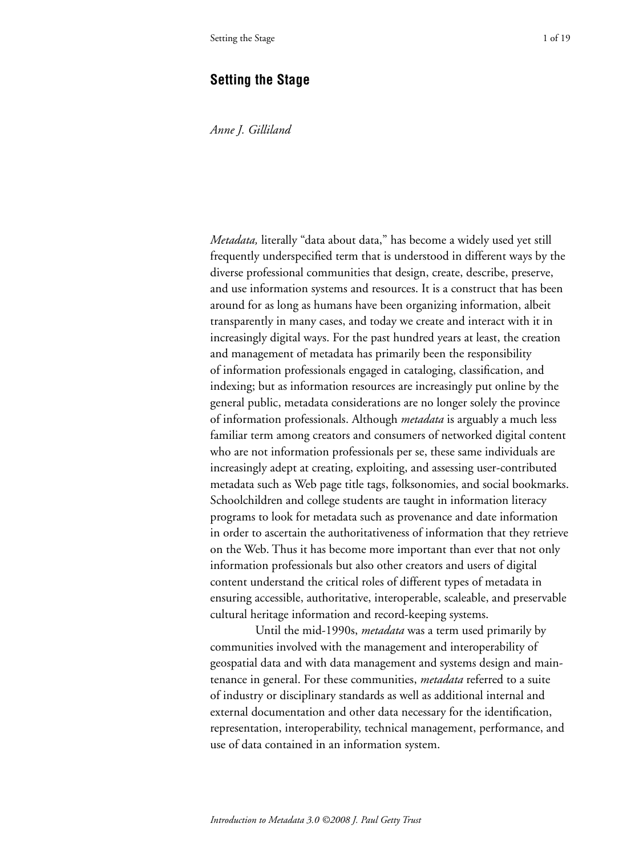## **Setting the Stage**

*Anne J. Gilliland*

*Metadata,* literally "data about data," has become a widely used yet still frequently underspecified term that is understood in different ways by the diverse professional communities that design, create, describe, preserve, and use information systems and resources. It is a construct that has been around for as long as humans have been organizing information, albeit transparently in many cases, and today we create and interact with it in increasingly digital ways. For the past hundred years at least, the creation and management of metadata has primarily been the responsibility of information professionals engaged in cataloging, classification, and indexing; but as information resources are increasingly put online by the general public, metadata considerations are no longer solely the province of information professionals. Although *metadata* is arguably a much less familiar term among creators and consumers of networked digital content who are not information professionals per se, these same individuals are increasingly adept at creating, exploiting, and assessing user-contributed metadata such as Web page title tags, folksonomies, and social bookmarks. Schoolchildren and college students are taught in information literacy programs to look for metadata such as provenance and date information in order to ascertain the authoritativeness of information that they retrieve on the Web. Thus it has become more important than ever that not only information professionals but also other creators and users of digital content understand the critical roles of different types of metadata in ensuring accessible, authoritative, interoperable, scaleable, and preservable cultural heritage information and record-keeping systems.

Until the mid-1990s, *metadata* was a term used primarily by communities involved with the management and interoperability of geospatial data and with data management and systems design and maintenance in general. For these communities, *metadata* referred to a suite of industry or disciplinary standards as well as additional internal and external documentation and other data necessary for the identification, representation, interoperability, technical management, performance, and use of data contained in an information system.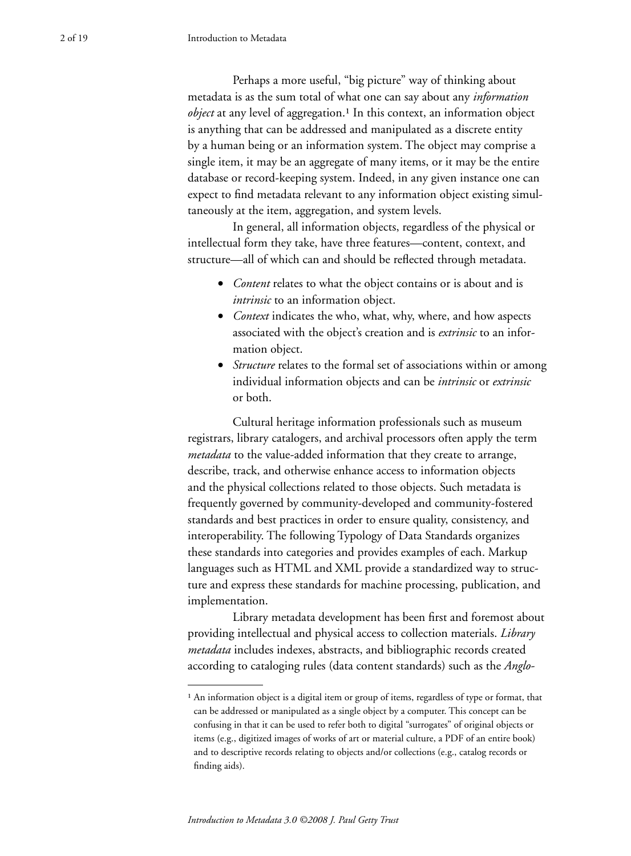Perhaps a more useful, "big picture" way of thinking about metadata is as the sum total of what one can say about any *information object* at any level of aggregation.<sup>1</sup> In this context, an information object is anything that can be addressed and manipulated as a discrete entity by a human being or an information system. The object may comprise a single item, it may be an aggregate of many items, or it may be the entire database or record-keeping system. Indeed, in any given instance one can expect to find metadata relevant to any information object existing simultaneously at the item, aggregation, and system levels.

In general, all information objects, regardless of the physical or intellectual form they take, have three features—content, context, and structure—all of which can and should be reflected through metadata.

- *Content* relates to what the object contains or is about and is *intrinsic* to an information object.
- *Context* indicates the who, what, why, where, and how aspects associated with the object's creation and is *extrinsic* to an information object.
- *Structure* relates to the formal set of associations within or among individual information objects and can be *intrinsic* or *extrinsic* or both.

Cultural heritage information professionals such as museum registrars, library catalogers, and archival processors often apply the term *metadata* to the value-added information that they create to arrange, describe, track, and otherwise enhance access to information objects and the physical collections related to those objects. Such metadata is frequently governed by community-developed and community-fostered standards and best practices in order to ensure quality, consistency, and interoperability. The following Typology of Data Standards organizes these standards into categories and provides examples of each. Markup languages such as HTML and XML provide a standardized way to structure and express these standards for machine processing, publication, and implementation.

Library metadata development has been first and foremost about providing intellectual and physical access to collection materials. *Library metadata* includes indexes, abstracts, and bibliographic records created according to cataloging rules (data content standards) such as the *Anglo-*

<sup>&</sup>lt;sup>1</sup> An information object is a digital item or group of items, regardless of type or format, that can be addressed or manipulated as a single object by a computer. This concept can be confusing in that it can be used to refer both to digital "surrogates" of original objects or items (e.g., digitized images of works of art or material culture, a PDF of an entire book) and to descriptive records relating to objects and/or collections (e.g., catalog records or finding aids).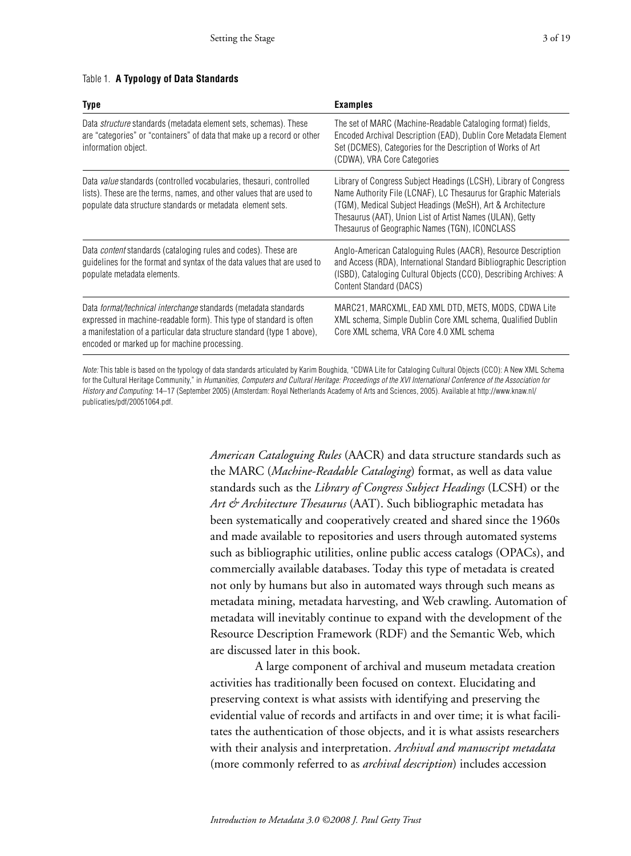#### Table 1. **A Typology of Data Standards**

| <b>Type</b>                                                                                                                                                                                                                                                              | <b>Examples</b>                                                                                                                                                                                                                                                                                                  |
|--------------------------------------------------------------------------------------------------------------------------------------------------------------------------------------------------------------------------------------------------------------------------|------------------------------------------------------------------------------------------------------------------------------------------------------------------------------------------------------------------------------------------------------------------------------------------------------------------|
| Data <i>structure</i> standards (metadata element sets, schemas). These<br>are "categories" or "containers" of data that make up a record or other<br>information object.                                                                                                | The set of MARC (Machine-Readable Cataloging format) fields,<br>Encoded Archival Description (EAD), Dublin Core Metadata Element<br>Set (DCMES), Categories for the Description of Works of Art<br>(CDWA), VRA Core Categories                                                                                   |
| Data value standards (controlled vocabularies, thesauri, controlled<br>lists). These are the terms, names, and other values that are used to<br>populate data structure standards or metadata element sets.                                                              | Library of Congress Subject Headings (LCSH), Library of Congress<br>Name Authority File (LCNAF), LC Thesaurus for Graphic Materials<br>(TGM), Medical Subject Headings (MeSH), Art & Architecture<br>Thesaurus (AAT), Union List of Artist Names (ULAN), Getty<br>Thesaurus of Geographic Names (TGN), ICONCLASS |
| Data <i>content</i> standards (cataloging rules and codes). These are<br>guidelines for the format and syntax of the data values that are used to<br>populate metadata elements.                                                                                         | Anglo-American Cataloguing Rules (AACR), Resource Description<br>and Access (RDA), International Standard Bibliographic Description<br>(ISBD), Cataloging Cultural Objects (CCO), Describing Archives: A<br>Content Standard (DACS)                                                                              |
| Data <i>format/technical interchange</i> standards (metadata standards<br>expressed in machine-readable form). This type of standard is often<br>a manifestation of a particular data structure standard (type 1 above),<br>encoded or marked up for machine processing. | MARC21, MARCXML, EAD XML DTD, METS, MODS, CDWA Lite<br>XML schema, Simple Dublin Core XML schema, Qualified Dublin<br>Core XML schema, VRA Core 4.0 XML schema                                                                                                                                                   |

*Note:* This table is based on the typology of data standards articulated by Karim Boughida, "CDWA Lite for Cataloging Cultural Objects (CCO): A New XML Schema for the Cultural Heritage Community," in *Humanities, Computers and Cultural Heritage: Proceedings of the XVI International Conference of the Association for History and Computing:* 14–17 (September 2005) (Amsterdam: Royal Netherlands Academy of Arts and Sciences, 2005). Available at http://www.knaw.nl/ publicaties/pdf/20051064.pdf.

> *American Cataloguing Rules* (AACR) and data structure standards such as the MARC (*Machine-Readable Cataloging*) format, as well as data value standards such as the *Library of Congress Subject Headings* (LCSH) or the *Art & Architecture Thesaurus* (AAT). Such bibliographic metadata has been systematically and cooperatively created and shared since the 1960s and made available to repositories and users through automated systems such as bibliographic utilities, online public access catalogs (OPACs), and commercially available databases. Today this type of metadata is created not only by humans but also in automated ways through such means as metadata mining, metadata harvesting, and Web crawling. Automation of metadata will inevitably continue to expand with the development of the Resource Description Framework (RDF) and the Semantic Web, which are discussed later in this book.

A large component of archival and museum metadata creation activities has traditionally been focused on context. Elucidating and preserving context is what assists with identifying and preserving the evidential value of records and artifacts in and over time; it is what facilitates the authentication of those objects, and it is what assists researchers with their analysis and interpretation. *Archival and manuscript metadata* (more commonly referred to as *archival description*) includes accession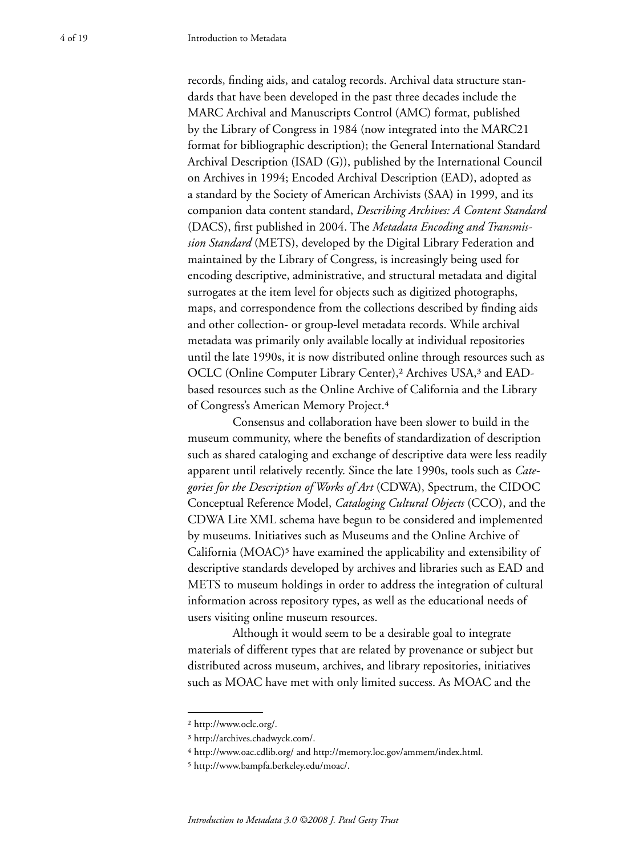records, finding aids, and catalog records. Archival data structure standards that have been developed in the past three decades include the MARC Archival and Manuscripts Control (AMC) format, published by the Library of Congress in 1984 (now integrated into the MARC21 format for bibliographic description); the General International Standard Archival Description (ISAD (G)), published by the International Council on Archives in 1994; Encoded Archival Description (EAD), adopted as a standard by the Society of American Archivists (SAA) in 1999, and its companion data content standard, *Describing Archives: A Content Standard*  (DACS), first published in 2004. The *Metadata Encoding and Transmission Standard* (METS), developed by the Digital Library Federation and maintained by the Library of Congress, is increasingly being used for encoding descriptive, administrative, and structural metadata and digital surrogates at the item level for objects such as digitized photographs, maps, and correspondence from the collections described by finding aids and other collection- or group-level metadata records. While archival metadata was primarily only available locally at individual repositories until the late 1990s, it is now distributed online through resources such as OCLC (Online Computer Library Center),<sup>2</sup> Archives USA,<sup>3</sup> and EADbased resources such as the Online Archive of California and the Library of Congress's American Memory Project.<sup>4</sup>

Consensus and collaboration have been slower to build in the museum community, where the benefits of standardization of description such as shared cataloging and exchange of descriptive data were less readily apparent until relatively recently. Since the late 1990s, tools such as *Categories for the Description of Works of Art* (CDWA), Spectrum, the CIDOC Conceptual Reference Model, *Cataloging Cultural Objects* (CCO), and the CDWA Lite XML schema have begun to be considered and implemented by museums. Initiatives such as Museums and the Online Archive of California (MOAC)<sup>5</sup> have examined the applicability and extensibility of descriptive standards developed by archives and libraries such as EAD and METS to museum holdings in order to address the integration of cultural information across repository types, as well as the educational needs of users visiting online museum resources.

Although it would seem to be a desirable goal to integrate materials of different types that are related by provenance or subject but distributed across museum, archives, and library repositories, initiatives such as MOAC have met with only limited success. As MOAC and the

² http://www.oclc.org/.

³ http://archives.chadwyck.com/.

⁴ http://www.oac.cdlib.org/ and http://memory.loc.gov/ammem/index.html.

⁵ http://www.bampfa.berkeley.edu/moac/.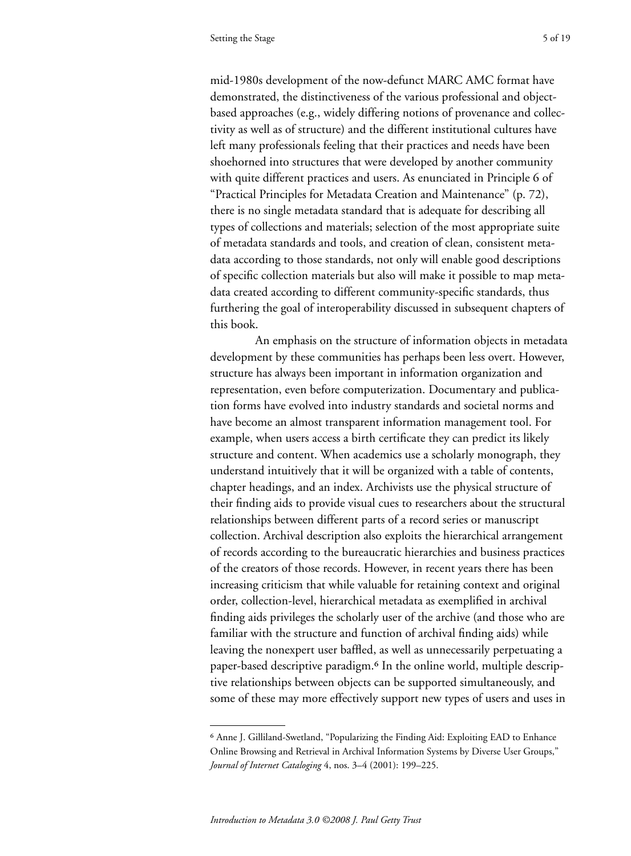mid-1980s development of the now-defunct MARC AMC format have demonstrated, the distinctiveness of the various professional and objectbased approaches (e.g., widely differing notions of provenance and collectivity as well as of structure) and the different institutional cultures have left many professionals feeling that their practices and needs have been shoehorned into structures that were developed by another community with quite different practices and users. As enunciated in Principle 6 of "Practical Principles for Metadata Creation and Maintenance" (p. 72), there is no single metadata standard that is adequate for describing all types of collections and materials; selection of the most appropriate suite of metadata standards and tools, and creation of clean, consistent metadata according to those standards, not only will enable good descriptions of specific collection materials but also will make it possible to map metadata created according to different community-specific standards, thus furthering the goal of interoperability discussed in subsequent chapters of this book.

An emphasis on the structure of information objects in metadata development by these communities has perhaps been less overt. However, structure has always been important in information organization and representation, even before computerization. Documentary and publication forms have evolved into industry standards and societal norms and have become an almost transparent information management tool. For example, when users access a birth certificate they can predict its likely structure and content. When academics use a scholarly monograph, they understand intuitively that it will be organized with a table of contents, chapter headings, and an index. Archivists use the physical structure of their finding aids to provide visual cues to researchers about the structural relationships between different parts of a record series or manuscript collection. Archival description also exploits the hierarchical arrangement of records according to the bureaucratic hierarchies and business practices of the creators of those records. However, in recent years there has been increasing criticism that while valuable for retaining context and original order, collection-level, hierarchical metadata as exemplified in archival finding aids privileges the scholarly user of the archive (and those who are familiar with the structure and function of archival finding aids) while leaving the nonexpert user baffled, as well as unnecessarily perpetuating a paper-based descriptive paradigm.<sup>6</sup> In the online world, multiple descriptive relationships between objects can be supported simultaneously, and some of these may more effectively support new types of users and uses in

⁶ Anne J. Gilliland-Swetland, "Popularizing the Finding Aid: Exploiting EAD to Enhance Online Browsing and Retrieval in Archival Information Systems by Diverse User Groups," *Journal of Internet Cataloging* 4, nos. 3–4 (2001): 199–225.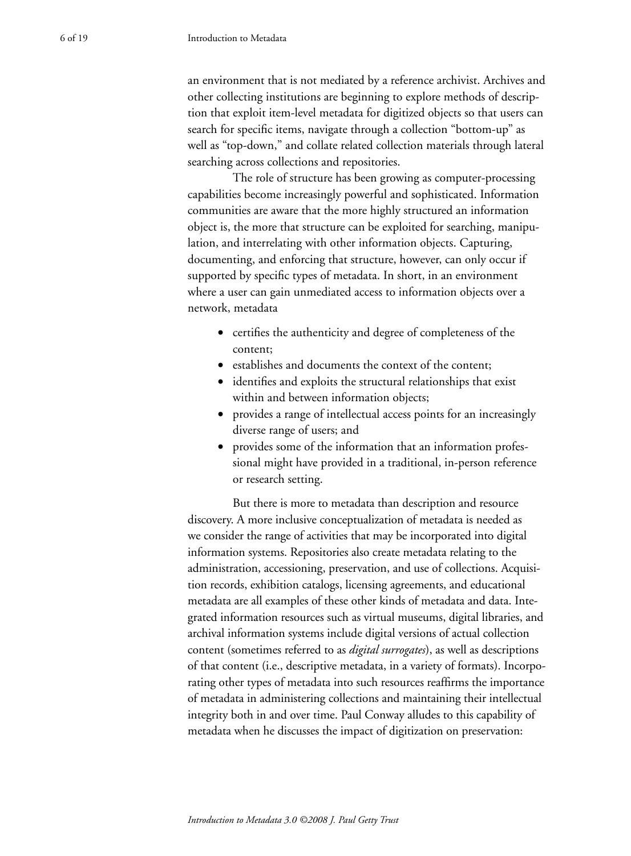an environment that is not mediated by a reference archivist. Archives and other collecting institutions are beginning to explore methods of description that exploit item-level metadata for digitized objects so that users can search for specific items, navigate through a collection "bottom-up" as well as "top-down," and collate related collection materials through lateral searching across collections and repositories.

The role of structure has been growing as computer-processing capabilities become increasingly powerful and sophisticated. Information communities are aware that the more highly structured an information object is, the more that structure can be exploited for searching, manipulation, and interrelating with other information objects. Capturing, documenting, and enforcing that structure, however, can only occur if supported by specific types of metadata. In short, in an environment where a user can gain unmediated access to information objects over a network, metadata

- • certifies the authenticity and degree of completeness of the content;
- establishes and documents the context of the content;
- identifies and exploits the structural relationships that exist within and between information objects;
- provides a range of intellectual access points for an increasingly diverse range of users; and
- provides some of the information that an information professional might have provided in a traditional, in-person reference or research setting.

But there is more to metadata than description and resource discovery. A more inclusive conceptualization of metadata is needed as we consider the range of activities that may be incorporated into digital information systems. Repositories also create metadata relating to the administration, accessioning, preservation, and use of collections. Acquisition records, exhibition catalogs, licensing agreements, and educational metadata are all examples of these other kinds of metadata and data. Integrated information resources such as virtual museums, digital libraries, and archival information systems include digital versions of actual collection content (sometimes referred to as *digital surrogates*), as well as descriptions of that content (i.e., descriptive metadata, in a variety of formats). Incorporating other types of metadata into such resources reaffirms the importance of metadata in administering collections and maintaining their intellectual integrity both in and over time. Paul Conway alludes to this capability of metadata when he discusses the impact of digitization on preservation: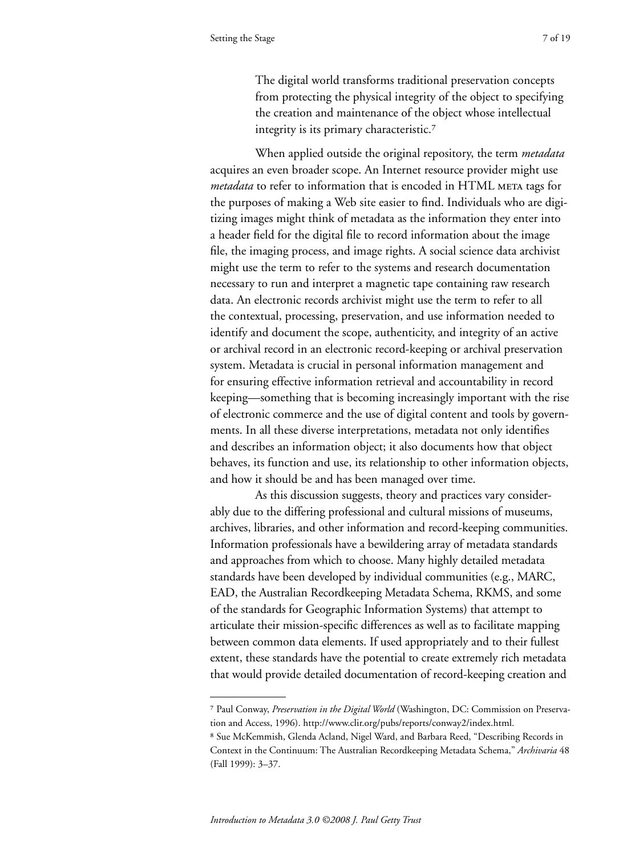The digital world transforms traditional preservation concepts from protecting the physical integrity of the object to specifying the creation and maintenance of the object whose intellectual integrity is its primary characteristic.<sup>7</sup>

When applied outside the original repository, the term *metadata* acquires an even broader scope. An Internet resource provider might use *metadata* to refer to information that is encoded in HTML META tags for the purposes of making a Web site easier to find. Individuals who are digitizing images might think of metadata as the information they enter into a header field for the digital file to record information about the image file, the imaging process, and image rights. A social science data archivist might use the term to refer to the systems and research documentation necessary to run and interpret a magnetic tape containing raw research data. An electronic records archivist might use the term to refer to all the contextual, processing, preservation, and use information needed to identify and document the scope, authenticity, and integrity of an active or archival record in an electronic record-keeping or archival preservation system. Metadata is crucial in personal information management and for ensuring effective information retrieval and accountability in record keeping—something that is becoming increasingly important with the rise of electronic commerce and the use of digital content and tools by governments. In all these diverse interpretations, metadata not only identifies and describes an information object; it also documents how that object behaves, its function and use, its relationship to other information objects, and how it should be and has been managed over time.

As this discussion suggests, theory and practices vary considerably due to the differing professional and cultural missions of museums, archives, libraries, and other information and record-keeping communities. Information professionals have a bewildering array of metadata standards and approaches from which to choose. Many highly detailed metadata standards have been developed by individual communities (e.g., MARC, EAD, the Australian Recordkeeping Metadata Schema, RKMS, and some of the standards for Geographic Information Systems) that attempt to articulate their mission-specific differences as well as to facilitate mapping between common data elements. If used appropriately and to their fullest extent, these standards have the potential to create extremely rich metadata that would provide detailed documentation of record-keeping creation and

⁷ Paul Conway, *Preservation in the Digital World* (Washington, DC: Commission on Preservation and Access, 1996). http://www.clir.org/pubs/reports/conway2/index.html.

⁸ Sue McKemmish, Glenda Acland, Nigel Ward, and Barbara Reed, "Describing Records in Context in the Continuum: The Australian Recordkeeping Metadata Schema," *Archivaria* 48 (Fall 1999): 3–37.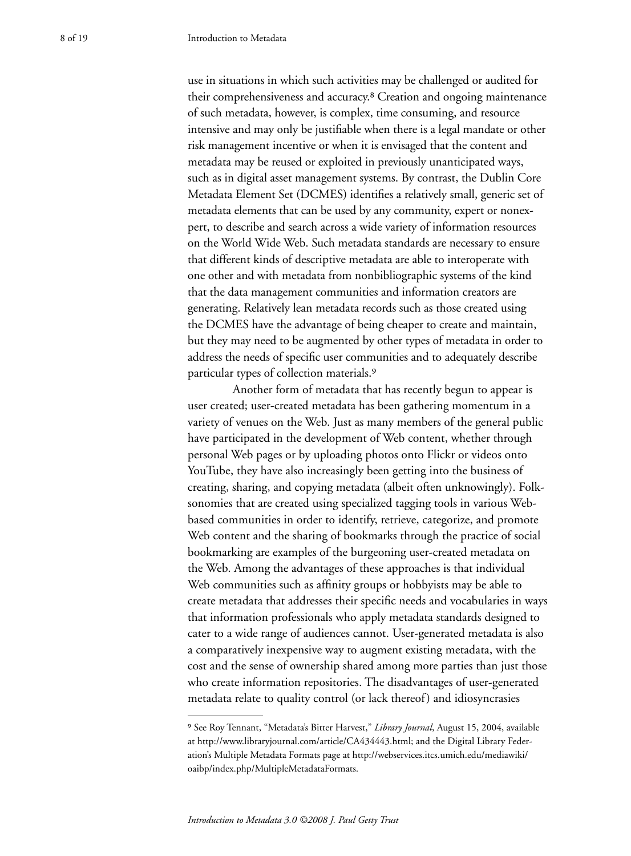use in situations in which such activities may be challenged or audited for their comprehensiveness and accuracy.<sup>8</sup> Creation and ongoing maintenance of such metadata, however, is complex, time consuming, and resource intensive and may only be justifiable when there is a legal mandate or other risk management incentive or when it is envisaged that the content and metadata may be reused or exploited in previously unanticipated ways, such as in digital asset management systems. By contrast, the Dublin Core Metadata Element Set (DCMES) identifies a relatively small, generic set of metadata elements that can be used by any community, expert or nonexpert, to describe and search across a wide variety of information resources on the World Wide Web. Such metadata standards are necessary to ensure that different kinds of descriptive metadata are able to interoperate with one other and with metadata from nonbibliographic systems of the kind that the data management communities and information creators are generating. Relatively lean metadata records such as those created using the DCMES have the advantage of being cheaper to create and maintain, but they may need to be augmented by other types of metadata in order to address the needs of specific user communities and to adequately describe particular types of collection materials.<sup>9</sup>

Another form of metadata that has recently begun to appear is user created; user-created metadata has been gathering momentum in a variety of venues on the Web. Just as many members of the general public have participated in the development of Web content, whether through personal Web pages or by uploading photos onto Flickr or videos onto YouTube, they have also increasingly been getting into the business of creating, sharing, and copying metadata (albeit often unknowingly). Folksonomies that are created using specialized tagging tools in various Webbased communities in order to identify, retrieve, categorize, and promote Web content and the sharing of bookmarks through the practice of social bookmarking are examples of the burgeoning user-created metadata on the Web. Among the advantages of these approaches is that individual Web communities such as affinity groups or hobbyists may be able to create metadata that addresses their specific needs and vocabularies in ways that information professionals who apply metadata standards designed to cater to a wide range of audiences cannot. User-generated metadata is also a comparatively inexpensive way to augment existing metadata, with the cost and the sense of ownership shared among more parties than just those who create information repositories. The disadvantages of user-generated metadata relate to quality control (or lack thereof) and idiosyncrasies

⁹ See Roy Tennant, "Metadata's Bitter Harvest," *Library Journal*, August 15, 2004, available at http://www.libraryjournal.com/article/CA434443.html; and the Digital Library Federation's Multiple Metadata Formats page at http://webservices.itcs.umich.edu/mediawiki/ oaibp/index.php/MultipleMetadataFormats.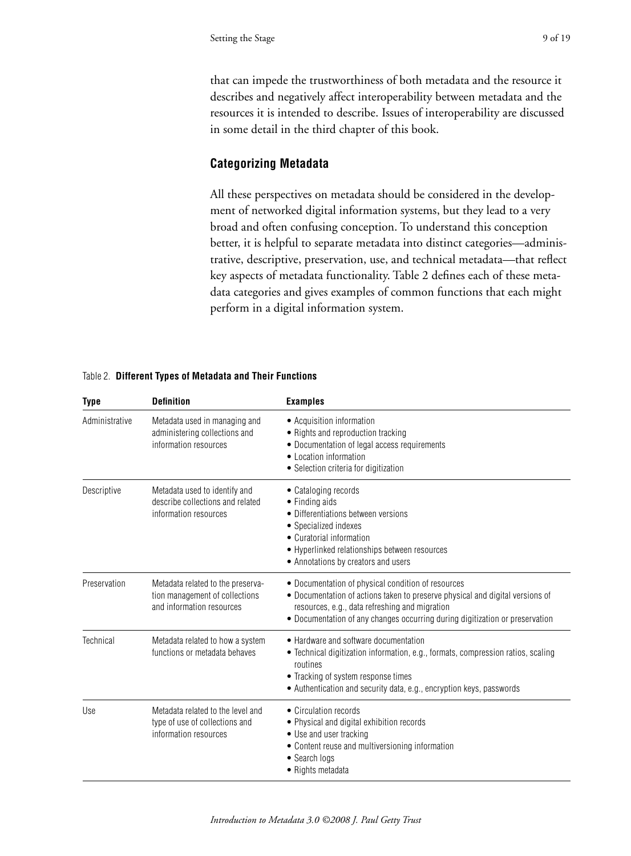that can impede the trustworthiness of both metadata and the resource it describes and negatively affect interoperability between metadata and the resources it is intended to describe. Issues of interoperability are discussed in some detail in the third chapter of this book.

# **Categorizing Metadata**

All these perspectives on metadata should be considered in the development of networked digital information systems, but they lead to a very broad and often confusing conception. To understand this conception better, it is helpful to separate metadata into distinct categories—administrative, descriptive, preservation, use, and technical metadata—that reflect key aspects of metadata functionality. Table 2 defines each of these metadata categories and gives examples of common functions that each might perform in a digital information system.

#### Table 2. **Different Types of Metadata and Their Functions**

| <b>Type</b>    | <b>Definition</b>                                                                                | <b>Examples</b>                                                                                                                                                                                                                                                       |  |
|----------------|--------------------------------------------------------------------------------------------------|-----------------------------------------------------------------------------------------------------------------------------------------------------------------------------------------------------------------------------------------------------------------------|--|
| Administrative | Metadata used in managing and<br>administering collections and<br>information resources          | • Acquisition information<br>• Rights and reproduction tracking<br>• Documentation of legal access requirements<br>• Location information<br>• Selection criteria for digitization                                                                                    |  |
| Descriptive    | Metadata used to identify and<br>describe collections and related<br>information resources       | • Cataloging records<br>• Finding aids<br>• Differentiations between versions<br>• Specialized indexes<br>• Curatorial information<br>• Hyperlinked relationships between resources<br>• Annotations by creators and users                                            |  |
| Preservation   | Metadata related to the preserva-<br>tion management of collections<br>and information resources | • Documentation of physical condition of resources<br>· Documentation of actions taken to preserve physical and digital versions of<br>resources, e.g., data refreshing and migration<br>• Documentation of any changes occurring during digitization or preservation |  |
| Technical      | Metadata related to how a system<br>functions or metadata behaves                                | • Hardware and software documentation<br>• Technical digitization information, e.g., formats, compression ratios, scaling<br>routines<br>• Tracking of system response times<br>• Authentication and security data, e.g., encryption keys, passwords                  |  |
| Use            | Metadata related to the level and<br>type of use of collections and<br>information resources     | • Circulation records<br>• Physical and digital exhibition records<br>• Use and user tracking<br>• Content reuse and multiversioning information<br>• Search logs<br>• Rights metadata                                                                                |  |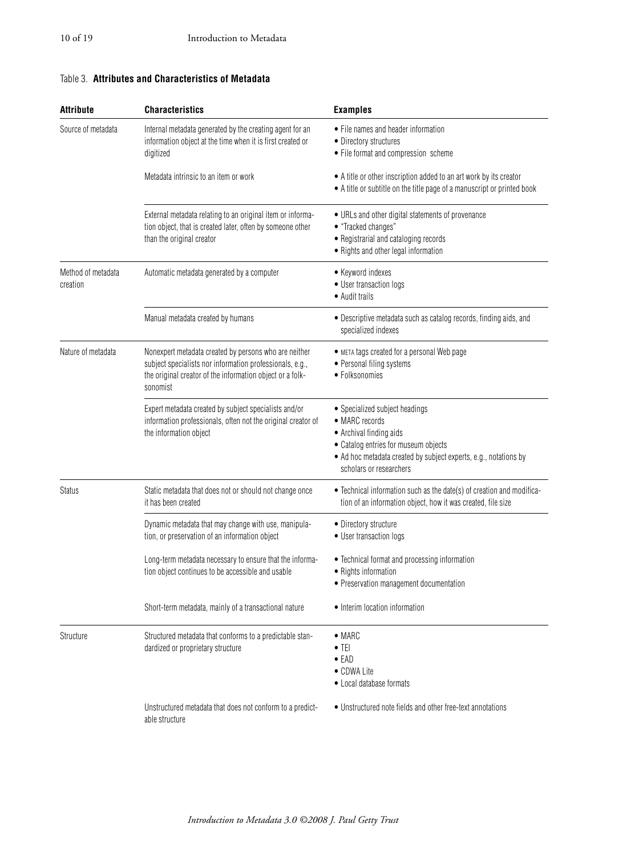#### Table 3. **Attributes and Characteristics of Metadata**

| <b>Attribute</b>               | <b>Characteristics</b>                                                                                                                                                                     | <b>Examples</b>                                                                                                                                                                                                            |  |
|--------------------------------|--------------------------------------------------------------------------------------------------------------------------------------------------------------------------------------------|----------------------------------------------------------------------------------------------------------------------------------------------------------------------------------------------------------------------------|--|
| Source of metadata             | Internal metadata generated by the creating agent for an<br>information object at the time when it is first created or<br>digitized                                                        | • File names and header information<br>• Directory structures<br>• File format and compression scheme                                                                                                                      |  |
|                                | Metadata intrinsic to an item or work                                                                                                                                                      | • A title or other inscription added to an art work by its creator<br>• A title or subtitle on the title page of a manuscript or printed book                                                                              |  |
|                                | External metadata relating to an original item or informa-<br>tion object, that is created later, often by someone other<br>than the original creator                                      | • URLs and other digital statements of provenance<br>• "Tracked changes"<br>• Registrarial and cataloging records<br>• Rights and other legal information                                                                  |  |
| Method of metadata<br>creation | Automatic metadata generated by a computer                                                                                                                                                 | • Keyword indexes<br>• User transaction logs<br>• Audit trails                                                                                                                                                             |  |
|                                | Manual metadata created by humans                                                                                                                                                          | • Descriptive metadata such as catalog records, finding aids, and<br>specialized indexes                                                                                                                                   |  |
| Nature of metadata             | Nonexpert metadata created by persons who are neither<br>subject specialists nor information professionals, e.g.,<br>the original creator of the information object or a folk-<br>sonomist | • META tags created for a personal Web page<br>• Personal filing systems<br>· Folksonomies                                                                                                                                 |  |
|                                | Expert metadata created by subject specialists and/or<br>information professionals, often not the original creator of<br>the information object                                            | • Specialized subject headings<br>$\bullet$ MARC records<br>• Archival finding aids<br>• Catalog entries for museum objects<br>• Ad hoc metadata created by subject experts, e.g., notations by<br>scholars or researchers |  |
| <b>Status</b>                  | Static metadata that does not or should not change once<br>it has been created                                                                                                             | • Technical information such as the date(s) of creation and modifica-<br>tion of an information object, how it was created, file size                                                                                      |  |
|                                | Dynamic metadata that may change with use, manipula-<br>tion, or preservation of an information object                                                                                     | • Directory structure<br>• User transaction logs                                                                                                                                                                           |  |
|                                | Long-term metadata necessary to ensure that the informa-<br>tion object continues to be accessible and usable                                                                              | • Technical format and processing information<br>• Rights information<br>• Preservation management documentation                                                                                                           |  |
|                                | Short-term metadata, mainly of a transactional nature                                                                                                                                      | • Interim location information                                                                                                                                                                                             |  |
| Structure                      | Structured metadata that conforms to a predictable stan-<br>dardized or proprietary structure                                                                                              | $\bullet$ MARC<br>$\bullet$ TEI<br>$\bullet$ EAD<br>• CDWA Lite<br>• Local database formats                                                                                                                                |  |
|                                | Unstructured metadata that does not conform to a predict-<br>able structure                                                                                                                | • Unstructured note fields and other free-text annotations                                                                                                                                                                 |  |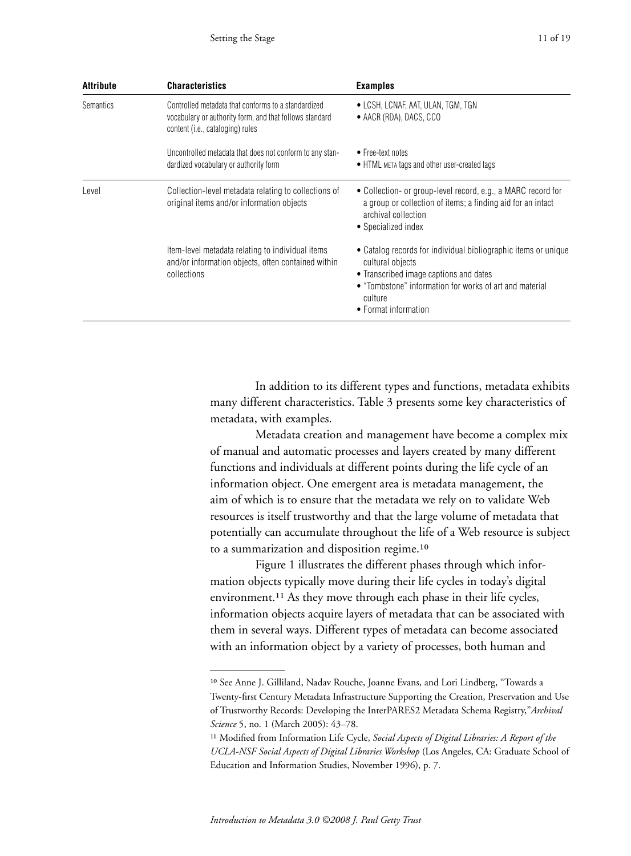| Attribute        | Characteristics                                                                                                                                    | <b>Examples</b>                                                                                                                                                                                                            |
|------------------|----------------------------------------------------------------------------------------------------------------------------------------------------|----------------------------------------------------------------------------------------------------------------------------------------------------------------------------------------------------------------------------|
| <b>Semantics</b> | Controlled metadata that conforms to a standardized<br>vocabulary or authority form, and that follows standard<br>content (i.e., cataloging) rules | • LCSH, LCNAF, AAT, ULAN, TGM, TGN<br>$\bullet$ AACR (RDA), DACS, CCO                                                                                                                                                      |
|                  | Uncontrolled metadata that does not conform to any stan-<br>dardized vocabulary or authority form                                                  | • Free-text notes<br>• HTML META tags and other user-created tags                                                                                                                                                          |
| Level            | Collection-level metadata relating to collections of<br>original items and/or information objects                                                  | • Collection- or group-level record, e.g., a MARC record for<br>a group or collection of items; a finding aid for an intact<br>archival collection<br>• Specialized index                                                  |
|                  | Item-level metadata relating to individual items<br>and/or information objects, often contained within<br>collections                              | • Catalog records for individual bibliographic items or unique<br>cultural objects<br>• Transcribed image captions and dates<br>• "Tombstone" information for works of art and material<br>culture<br>• Format information |

In addition to its different types and functions, metadata exhibits many different characteristics. Table 3 presents some key characteristics of metadata, with examples.

Metadata creation and management have become a complex mix of manual and automatic processes and layers created by many different functions and individuals at different points during the life cycle of an information object. One emergent area is metadata management, the aim of which is to ensure that the metadata we rely on to validate Web resources is itself trustworthy and that the large volume of metadata that potentially can accumulate throughout the life of a Web resource is subject to a summarization and disposition regime.<sup>10</sup>

Figure 1 illustrates the different phases through which information objects typically move during their life cycles in today's digital environment.<sup>11</sup> As they move through each phase in their life cycles, information objects acquire layers of metadata that can be associated with them in several ways. Different types of metadata can become associated with an information object by a variety of processes, both human and

<sup>&</sup>lt;sup>10</sup> See Anne J. Gilliland, Nadav Rouche, Joanne Evans, and Lori Lindberg, "Towards a Twenty-first Century Metadata Infrastructure Supporting the Creation, Preservation and Use of Trustworthy Records: Developing the InterPARES2 Metadata Schema Registry,"*Archival Science* 5, no. 1 (March 2005): 43–78.

<sup>&</sup>lt;sup>11</sup> Modified from Information Life Cycle, *Social Aspects of Digital Libraries: A Report of the UCLA-NSF Social Aspects of Digital Libraries Workshop* (Los Angeles, CA: Graduate School of Education and Information Studies, November 1996), p. 7.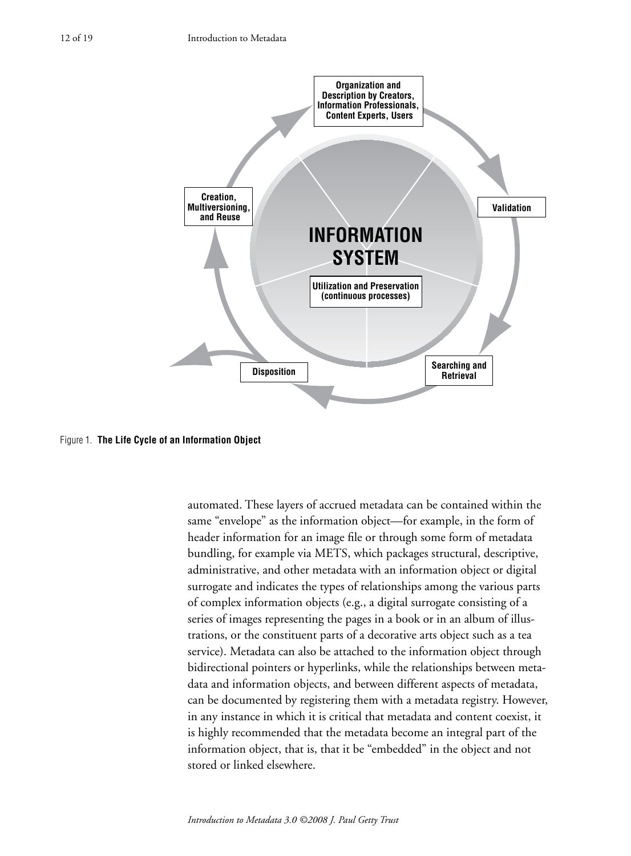

Figure 1. **The Life Cycle of an Information Object**

automated. These layers of accrued metadata can be contained within the same "envelope" as the information object—for example, in the form of header information for an image file or through some form of metadata bundling, for example via METS, which packages structural, descriptive, administrative, and other metadata with an information object or digital surrogate and indicates the types of relationships among the various parts of complex information objects (e.g., a digital surrogate consisting of a series of images representing the pages in a book or in an album of illustrations, or the constituent parts of a decorative arts object such as a tea service). Metadata can also be attached to the information object through bidirectional pointers or hyperlinks, while the relationships between metadata and information objects, and between different aspects of metadata, can be documented by registering them with a metadata registry. However, in any instance in which it is critical that metadata and content coexist, it is highly recommended that the metadata become an integral part of the information object, that is, that it be "embedded" in the object and not stored or linked elsewhere.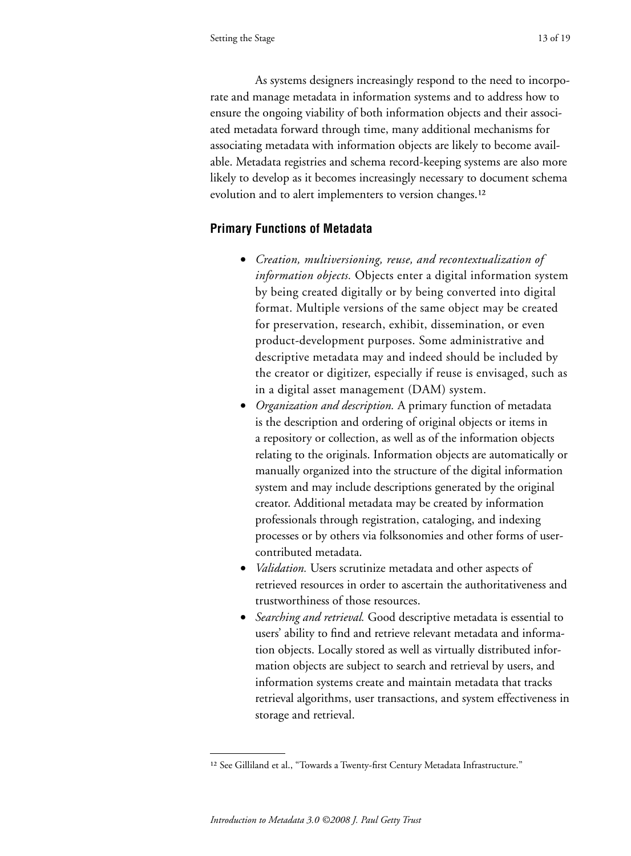As systems designers increasingly respond to the need to incorporate and manage metadata in information systems and to address how to ensure the ongoing viability of both information objects and their associated metadata forward through time, many additional mechanisms for associating metadata with information objects are likely to become available. Metadata registries and schema record-keeping systems are also more likely to develop as it becomes increasingly necessary to document schema evolution and to alert implementers to version changes.<sup>12</sup>

### **Primary Functions of Metadata**

- • *Creation, multiversioning, reuse, and recontextualization of information objects.* Objects enter a digital information system by being created digitally or by being converted into digital format. Multiple versions of the same object may be created for preservation, research, exhibit, dissemination, or even product-development purposes. Some administrative and descriptive metadata may and indeed should be included by the creator or digitizer, especially if reuse is envisaged, such as in a digital asset management (DAM) system.
- • *Organization and description.* A primary function of metadata is the description and ordering of original objects or items in a repository or collection, as well as of the information objects relating to the originals. Information objects are automatically or manually organized into the structure of the digital information system and may include descriptions generated by the original creator. Additional metadata may be created by information professionals through registration, cataloging, and indexing processes or by others via folksonomies and other forms of usercontributed metadata.
- • *Validation.* Users scrutinize metadata and other aspects of retrieved resources in order to ascertain the authoritativeness and trustworthiness of those resources.
- • *Searching and retrieval.* Good descriptive metadata is essential to users' ability to find and retrieve relevant metadata and information objects. Locally stored as well as virtually distributed information objects are subject to search and retrieval by users, and information systems create and maintain metadata that tracks retrieval algorithms, user transactions, and system effectiveness in storage and retrieval.

<sup>&</sup>lt;sup>12</sup> See Gilliland et al., "Towards a Twenty-first Century Metadata Infrastructure."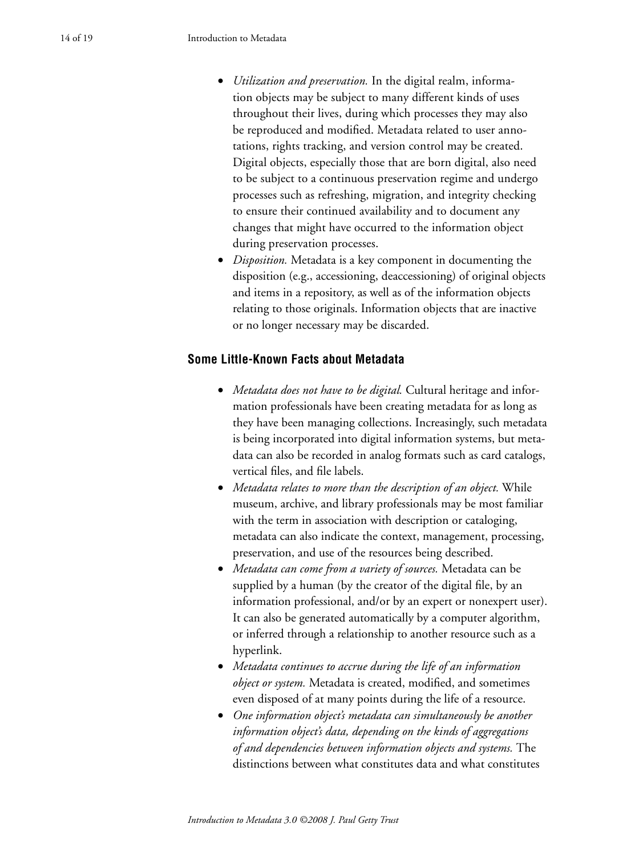- • *Utilization and preservation.* In the digital realm, information objects may be subject to many different kinds of uses throughout their lives, during which processes they may also be reproduced and modified. Metadata related to user annotations, rights tracking, and version control may be created. Digital objects, especially those that are born digital, also need to be subject to a continuous preservation regime and undergo processes such as refreshing, migration, and integrity checking to ensure their continued availability and to document any changes that might have occurred to the information object during preservation processes.
- *Disposition*. Metadata is a key component in documenting the disposition (e.g., accessioning, deaccessioning) of original objects and items in a repository, as well as of the information objects relating to those originals. Information objects that are inactive or no longer necessary may be discarded.

### **Some Little-Known Facts about Metadata**

- *Metadata does not have to be digital.* Cultural heritage and information professionals have been creating metadata for as long as they have been managing collections. Increasingly, such metadata is being incorporated into digital information systems, but metadata can also be recorded in analog formats such as card catalogs, vertical files, and file labels.
- • *Metadata relates to more than the description of an object.* While museum, archive, and library professionals may be most familiar with the term in association with description or cataloging, metadata can also indicate the context, management, processing, preservation, and use of the resources being described.
- • *Metadata can come from a variety of sources.* Metadata can be supplied by a human (by the creator of the digital file, by an information professional, and/or by an expert or nonexpert user). It can also be generated automatically by a computer algorithm, or inferred through a relationship to another resource such as a hyperlink.
- • *Metadata continues to accrue during the life of an information object or system.* Metadata is created, modified, and sometimes even disposed of at many points during the life of a resource.
- • *One information object's metadata can simultaneously be another information object's data, depending on the kinds of aggregations of and dependencies between information objects and systems.* The distinctions between what constitutes data and what constitutes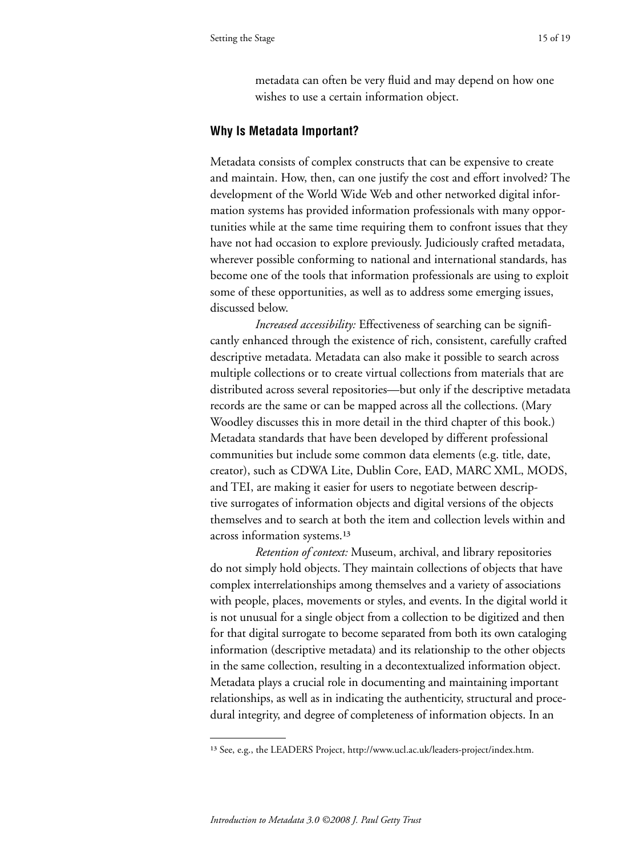metadata can often be very fluid and may depend on how one wishes to use a certain information object.

### **Why Is Metadata Important?**

Metadata consists of complex constructs that can be expensive to create and maintain. How, then, can one justify the cost and effort involved? The development of the World Wide Web and other networked digital information systems has provided information professionals with many opportunities while at the same time requiring them to confront issues that they have not had occasion to explore previously. Judiciously crafted metadata, wherever possible conforming to national and international standards, has become one of the tools that information professionals are using to exploit some of these opportunities, as well as to address some emerging issues, discussed below.

*Increased accessibility:* Effectiveness of searching can be significantly enhanced through the existence of rich, consistent, carefully crafted descriptive metadata. Metadata can also make it possible to search across multiple collections or to create virtual collections from materials that are distributed across several repositories—but only if the descriptive metadata records are the same or can be mapped across all the collections. (Mary Woodley discusses this in more detail in the third chapter of this book.) Metadata standards that have been developed by different professional communities but include some common data elements (e.g. title, date, creator), such as CDWA Lite, Dublin Core, EAD, MARC XML, MODS, and TEI, are making it easier for users to negotiate between descriptive surrogates of information objects and digital versions of the objects themselves and to search at both the item and collection levels within and across information systems.<sup>13</sup>

*Retention of context:* Museum, archival, and library repositories do not simply hold objects. They maintain collections of objects that have complex interrelationships among themselves and a variety of associations with people, places, movements or styles, and events. In the digital world it is not unusual for a single object from a collection to be digitized and then for that digital surrogate to become separated from both its own cataloging information (descriptive metadata) and its relationship to the other objects in the same collection, resulting in a decontextualized information object. Metadata plays a crucial role in documenting and maintaining important relationships, as well as in indicating the authenticity, structural and procedural integrity, and degree of completeness of information objects. In an

<sup>&</sup>lt;sup>13</sup> See, e.g., the LEADERS Project, http://www.ucl.ac.uk/leaders-project/index.htm.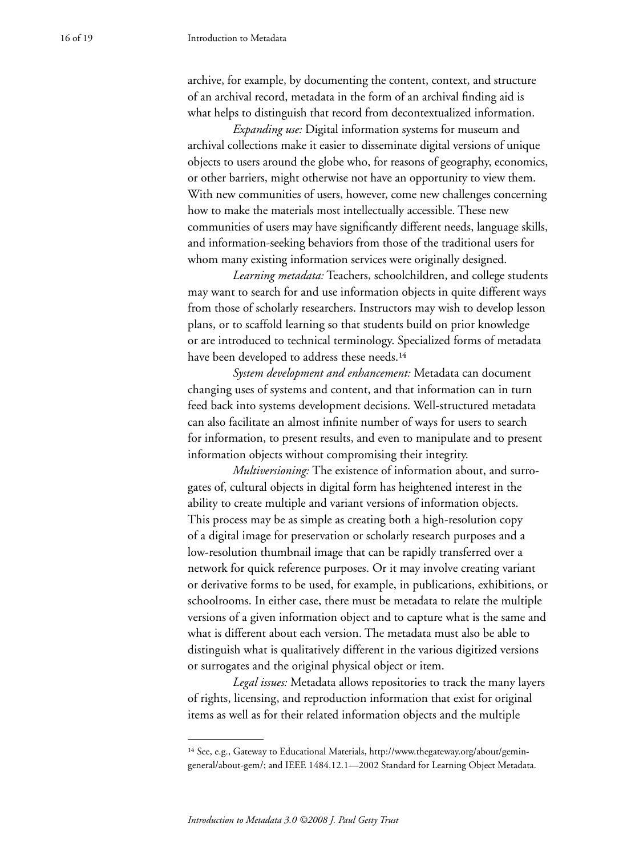archive, for example, by documenting the content, context, and structure of an archival record, metadata in the form of an archival finding aid is what helps to distinguish that record from decontextualized information.

*Expanding use:* Digital information systems for museum and archival collections make it easier to disseminate digital versions of unique objects to users around the globe who, for reasons of geography, economics, or other barriers, might otherwise not have an opportunity to view them. With new communities of users, however, come new challenges concerning how to make the materials most intellectually accessible. These new communities of users may have significantly different needs, language skills, and information-seeking behaviors from those of the traditional users for whom many existing information services were originally designed.

*Learning metadata:* Teachers, schoolchildren, and college students may want to search for and use information objects in quite different ways from those of scholarly researchers. Instructors may wish to develop lesson plans, or to scaffold learning so that students build on prior knowledge or are introduced to technical terminology. Specialized forms of metadata have been developed to address these needs.<sup>14</sup>

*System development and enhancement:* Metadata can document changing uses of systems and content, and that information can in turn feed back into systems development decisions. Well-structured metadata can also facilitate an almost infinite number of ways for users to search for information, to present results, and even to manipulate and to present information objects without compromising their integrity.

*Multiversioning:* The existence of information about, and surrogates of, cultural objects in digital form has heightened interest in the ability to create multiple and variant versions of information objects. This process may be as simple as creating both a high-resolution copy of a digital image for preservation or scholarly research purposes and a low-resolution thumbnail image that can be rapidly transferred over a network for quick reference purposes. Or it may involve creating variant or derivative forms to be used, for example, in publications, exhibitions, or schoolrooms. In either case, there must be metadata to relate the multiple versions of a given information object and to capture what is the same and what is different about each version. The metadata must also be able to distinguish what is qualitatively different in the various digitized versions or surrogates and the original physical object or item.

*Legal issues:* Metadata allows repositories to track the many layers of rights, licensing, and reproduction information that exist for original items as well as for their related information objects and the multiple

<sup>&</sup>lt;sup>14</sup> See, e.g., Gateway to Educational Materials, http://www.thegateway.org/about/gemingeneral/about-gem/; and IEEE 1484.12.1—2002 Standard for Learning Object Metadata.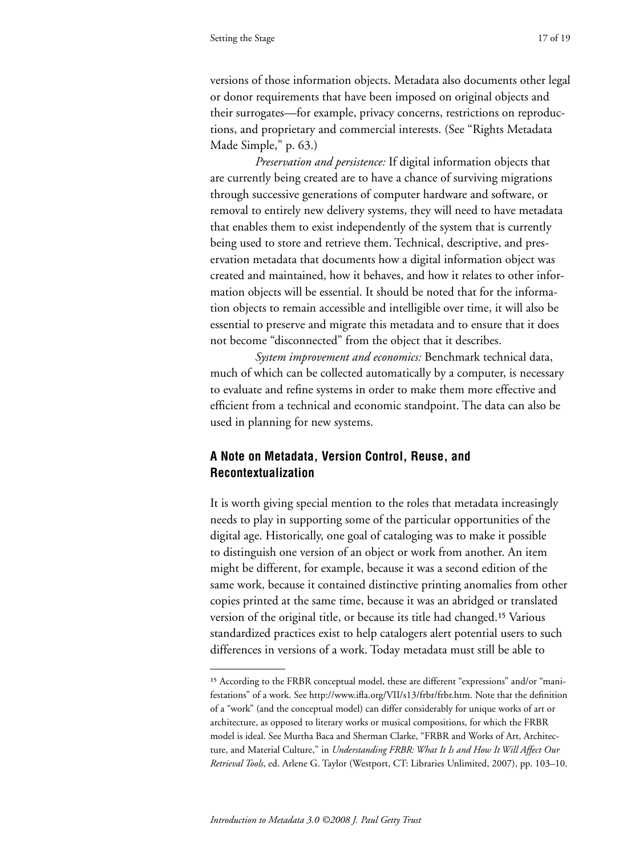versions of those information objects. Metadata also documents other legal or donor requirements that have been imposed on original objects and their surrogates—for example, privacy concerns, restrictions on reproductions, and proprietary and commercial interests. (See "Rights Metadata Made Simple," p. 63.)

*Preservation and persistence:* If digital information objects that are currently being created are to have a chance of surviving migrations through successive generations of computer hardware and software, or removal to entirely new delivery systems, they will need to have metadata that enables them to exist independently of the system that is currently being used to store and retrieve them. Technical, descriptive, and preservation metadata that documents how a digital information object was created and maintained, how it behaves, and how it relates to other information objects will be essential. It should be noted that for the information objects to remain accessible and intelligible over time, it will also be essential to preserve and migrate this metadata and to ensure that it does not become "disconnected" from the object that it describes.

*System improvement and economics:* Benchmark technical data, much of which can be collected automatically by a computer, is necessary to evaluate and refine systems in order to make them more effective and efficient from a technical and economic standpoint. The data can also be used in planning for new systems.

## **A Note on Metadata, Version Control, Reuse, and Recontextualization**

It is worth giving special mention to the roles that metadata increasingly needs to play in supporting some of the particular opportunities of the digital age. Historically, one goal of cataloging was to make it possible to distinguish one version of an object or work from another. An item might be different, for example, because it was a second edition of the same work, because it contained distinctive printing anomalies from other copies printed at the same time, because it was an abridged or translated version of the original title, or because its title had changed.<sup>15</sup> Various standardized practices exist to help catalogers alert potential users to such differences in versions of a work. Today metadata must still be able to

<sup>&</sup>lt;sup>15</sup> According to the FRBR conceptual model, these are different "expressions" and/or "manifestations" of a work. See http://www.ifla.org/VII/s13/frbr/frbr.htm. Note that the definition of a "work" (and the conceptual model) can differ considerably for unique works of art or architecture, as opposed to literary works or musical compositions, for which the FRBR model is ideal. See Murtha Baca and Sherman Clarke, "FRBR and Works of Art, Architecture, and Material Culture," in *Understanding FRBR: What It Is and How It Will Affect Our Retrieval Tools*, ed. Arlene G. Taylor (Westport, CT: Libraries Unlimited, 2007), pp. 103–10.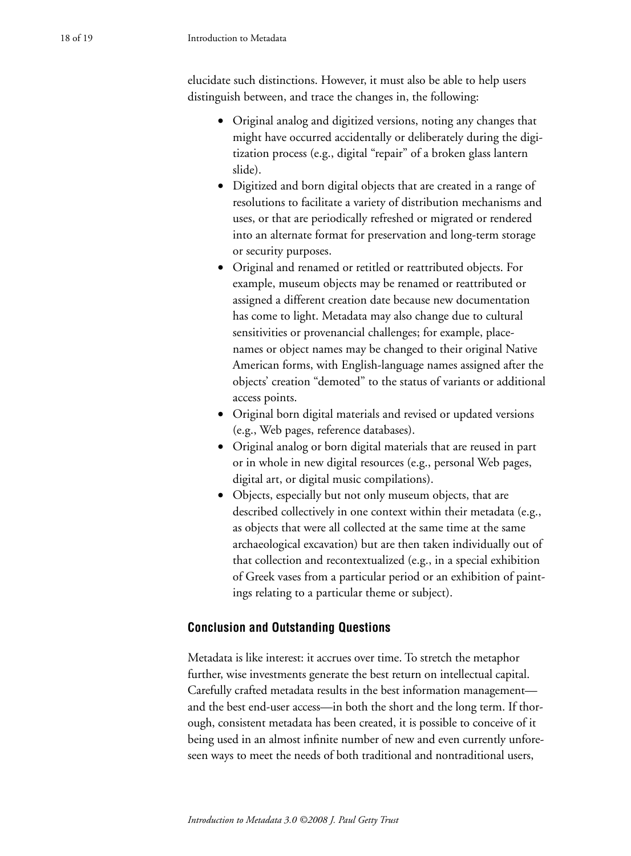elucidate such distinctions. However, it must also be able to help users distinguish between, and trace the changes in, the following:

- • Original analog and digitized versions, noting any changes that might have occurred accidentally or deliberately during the digitization process (e.g., digital "repair" of a broken glass lantern slide).
- Digitized and born digital objects that are created in a range of resolutions to facilitate a variety of distribution mechanisms and uses, or that are periodically refreshed or migrated or rendered into an alternate format for preservation and long-term storage or security purposes.
- • Original and renamed or retitled or reattributed objects. For example, museum objects may be renamed or reattributed or assigned a different creation date because new documentation has come to light. Metadata may also change due to cultural sensitivities or provenancial challenges; for example, placenames or object names may be changed to their original Native American forms, with English-language names assigned after the objects' creation "demoted" to the status of variants or additional access points.
- Original born digital materials and revised or updated versions (e.g., Web pages, reference databases).
- Original analog or born digital materials that are reused in part or in whole in new digital resources (e.g., personal Web pages, digital art, or digital music compilations).
- Objects, especially but not only museum objects, that are described collectively in one context within their metadata (e.g., as objects that were all collected at the same time at the same archaeological excavation) but are then taken individually out of that collection and recontextualized (e.g., in a special exhibition of Greek vases from a particular period or an exhibition of paintings relating to a particular theme or subject).

## **Conclusion and Outstanding Questions**

Metadata is like interest: it accrues over time. To stretch the metaphor further, wise investments generate the best return on intellectual capital. Carefully crafted metadata results in the best information management and the best end-user access—in both the short and the long term. If thorough, consistent metadata has been created, it is possible to conceive of it being used in an almost infinite number of new and even currently unforeseen ways to meet the needs of both traditional and nontraditional users,